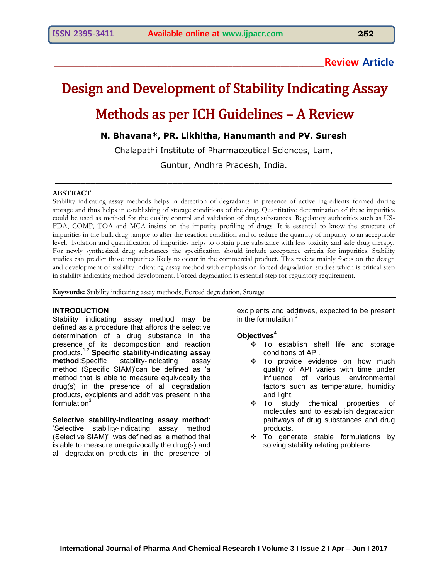# **\_\_\_\_\_\_\_\_\_\_\_\_\_\_\_\_\_\_\_\_\_\_\_\_\_\_\_\_\_\_\_\_\_\_\_\_\_\_\_\_\_\_\_\_\_\_\_\_\_\_\_\_\_\_\_\_\_\_\_\_\_\_Review Article**

# Design and Development of Stability Indicating Assay Methods as per ICH Guidelines – A Review

# **N. Bhavana\*, PR. Likhitha, Hanumanth and PV. Suresh**

Chalapathi Institute of Pharmaceutical Sciences, Lam, Guntur, Andhra Pradesh, India.

\_\_\_\_\_\_\_\_\_\_\_\_\_\_\_\_\_\_\_\_\_\_\_\_\_\_\_\_\_\_\_\_\_\_\_\_\_\_\_\_\_\_\_\_\_\_\_\_\_\_\_\_\_\_\_\_\_\_\_\_\_\_\_\_\_\_

### **ABSTRACT**

Stability indicating assay methods helps in detection of degradants in presence of active ingredients formed during storage and thus helps in establishing of storage conditions of the drug. Quantitative determination of these impurities could be used as method for the quality control and validation of drug substances. Regulatory authorities such as US-FDA, COMP, TOA and MCA insists on the impurity profiling of drugs. It is essential to know the structure of impurities in the bulk drug sample to alter the reaction condition and to reduce the quantity of impurity to an acceptable level. Isolation and quantification of impurities helps to obtain pure substance with less toxicity and safe drug therapy. For newly synthesized drug substances the specification should include acceptance criteria for impurities. Stability studies can predict those impurities likely to occur in the commercial product. This review mainly focus on the design and development of stability indicating assay method with emphasis on forced degradation studies which is critical step in stability indicating method development. Forced degradation is essential step for regulatory requirement.

**Keywords:** Stability indicating assay methods, Forced degradation, Storage.

#### **INTRODUCTION**

Stability indicating assay method may be defined as a procedure that affords the selective determination of a drug substance in the presence of its decomposition and reaction products.1,2 **Specific stability-indicating assay method**:Specific stability-indicating assay method (Specific SIAM)'can be defined as 'a method that is able to measure equivocally the drug(s) in the presence of all degradation products, excipients and additives present in the formulation<sup>3</sup>

**Selective stability-indicating assay method**: 'Selective stability-indicating assay method (Selective SIAM)' was defined as 'a method that is able to measure unequivocally the drug(s) and all degradation products in the presence of

excipients and additives, expected to be present in the formulation.<sup>3</sup>

#### **Objectives**<sup>4</sup>

- \* To establish shelf life and storage conditions of API.
- \* To provide evidence on how much quality of API varies with time under influence of various environmental factors such as temperature, humidity and light.
- To study chemical properties of molecules and to establish degradation pathways of drug substances and drug products.
- \* To generate stable formulations by solving stability relating problems.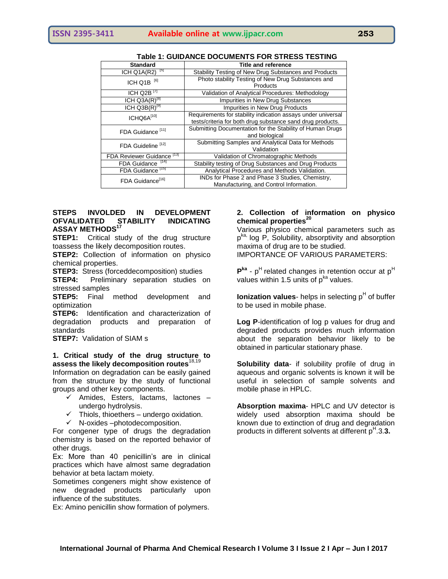| <b>Standard</b>                       | <b>Title and reference</b>                                   |  |  |
|---------------------------------------|--------------------------------------------------------------|--|--|
| ाञ<br>ICH Q1A(R2)                     | Stability Testing of New Drug Substances and Products        |  |  |
| ICH Q1B <sup>[6]</sup>                | Photo stability Testing of New Drug Substances and           |  |  |
|                                       | Products                                                     |  |  |
| ICH Q2B $^{17}$                       | Validation of Analytical Procedures: Methodology             |  |  |
| ICH $Q3A(R)^{[8]}$                    | Impurities in New Drug Substances                            |  |  |
| $ICH Q3B(R)$ <sup>[9]</sup>           | Impurities in New Drug Products                              |  |  |
| ICHQ6A[10]                            | Requirements for stability indication assays under universal |  |  |
|                                       | tests/criteria for both drug substance sand drug products.   |  |  |
| FDA Guidance <sup>[11]</sup>          | Submitting Documentation for the Stability of Human Drugs    |  |  |
|                                       | and biological                                               |  |  |
| FDA Guideline <sup>[12]</sup>         | Submitting Samples and Analytical Data for Methods           |  |  |
|                                       | Validation                                                   |  |  |
| FDA Reviewer Guidance <sup>[13]</sup> | Validation of Chromatographic Methods                        |  |  |
| FDA Guidance [14]                     | Stability testing of Drug Substances and Drug Products       |  |  |
| FDA Guidance <sup>[15]</sup>          | Analytical Procedures and Methods Validation.                |  |  |
| FDA Guidance <sup>[16]</sup>          | INDs for Phase 2 and Phase 3 Studies, Chemistry,             |  |  |
|                                       | Manufacturing, and Control Information.                      |  |  |

## **Table 1: GUIDANCE DOCUMENTS FOR STRESS TESTING**

## **STEPS INVOLDED IN DEVELOPMENT OFVALIDATED STABILITY INDICATING ASSAY METHODS<sup>17</sup>**

**STEP1:** Critical study of the drug structure toassess the likely decomposition routes.

**STEP2:** Collection of information on physico chemical properties.

**STEP3:** Stress (forceddecomposition) studies

**STEP4:** Preliminary separation studies on stressed samples

**STEP5:** Final method development and optimization

**STEP6:** Identification and characterization of degradation products and preparation of standards

**STEP7:** Validation of SIAM s

### **1. Critical study of the drug structure to assess the likely decomposition routes**18,19

Information on degradation can be easily gained from the structure by the study of functional groups and other key components.

- $\checkmark$  Amides, Esters, lactams, lactones undergo hydrolysis.
- $\checkmark$  Thiols, thioethers undergo oxidation.
- $\checkmark$  N-oxides –photodecomposition.

For congener type of drugs the degradation chemistry is based on the reported behavior of other drugs.

Ex: More than 40 penicillin's are in clinical practices which have almost same degradation behavior at beta lactam moiety.

Sometimes congeners might show existence of new degraded products particularly upon influence of the substitutes.

Ex: Amino penicillin show formation of polymers.

# **2. Collection of information on physico chemical properties<sup>20</sup>**

Various physico chemical parameters such as p<sup>ka,</sup> log P, Solubility, absorptivity and absorption maxima of drug are to be studied. IMPORTANCE OF VARIOUS PARAMETERS:

P<sup>ka</sup> - p<sup>H</sup> related changes in retention occur at p<sup>H</sup> values within 1.5 units of  $p^{ka}$  values.

**Ionization values**- helps in selecting p<sup>H</sup> of buffer to be used in mobile phase.

**Log P**-identification of log p values for drug and degraded products provides much information about the separation behavior likely to be obtained in particular stationary phase.

**Solubility data**- if solubility profile of drug in aqueous and organic solvents is known it will be useful in selection of sample solvents and mobile phase in HPLC.

**Absorption maxima**- HPLC and UV detector is widely used absorption maxima should be known due to extinction of drug and degradation products in different solvents at different p<sup>H</sup>.3.3.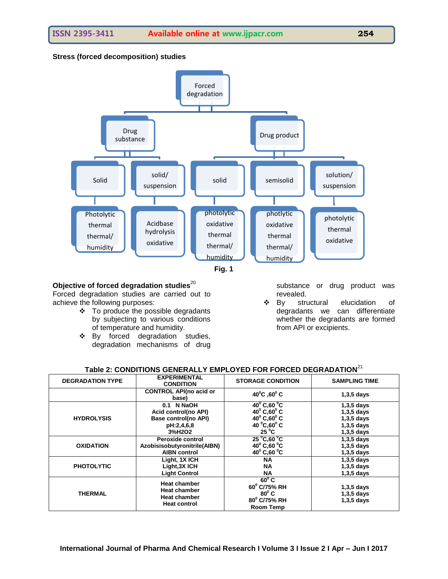# **Stress (forced decomposition) studies**





# **Objective of forced degradation studies**<sup>20</sup>

Forced degradation studies are carried out to achieve the following purposes:

- To produce the possible degradants by subjecting to various conditions of temperature and humidity.
- \* By forced degradation studies, degradation mechanisms of drug

substance or drug product was revealed.

 By structural elucidation of degradants we can differentiate whether the degradants are formed from API or excipients.

| Table 2: CONDITIONS GENERALLY EMPLOYED FOR FORCED DEGRADATION <sup>21</sup> |
|-----------------------------------------------------------------------------|
|-----------------------------------------------------------------------------|

| <b>DEGRADATION TYPE</b> | <b>EXPERIMENTAL</b><br><b>CONDITION</b>                                                  | <b>STORAGE CONDITION</b>                                                      | <b>SAMPLING TIME</b>                         |
|-------------------------|------------------------------------------------------------------------------------------|-------------------------------------------------------------------------------|----------------------------------------------|
|                         | <b>CONTROL API(no acid or</b><br>base)                                                   | $40^{\circ}$ C, 60 $^{\circ}$ C                                               | $1,3,5$ days                                 |
| <b>HYDROLYSIS</b>       | 0.1 N NaOH                                                                               | $40^{\circ}$ C,60 $^{\circ}$ C                                                | $1,3,5$ days                                 |
|                         | Acid control(no API)                                                                     | $40^{\circ}$ C, 60 $^{\circ}$ C                                               | $1,3,5$ days                                 |
|                         | Base control(no API)                                                                     | $40^{\circ}$ C, $60^{\circ}$ C                                                | $1,3,5$ days                                 |
|                         | pH:2,4,6,8                                                                               | 40 $^{\circ}$ C,60 $^{\circ}$ C                                               | $1,3,5$ days                                 |
|                         | 3%H2O2                                                                                   | $25^{\circ}$ C                                                                | $1,3,5$ days                                 |
| <b>OXIDATION</b>        | Peroxide control                                                                         | $25^{\circ}$ C,60 $^{\circ}$ C                                                | $1,3,5$ days                                 |
|                         | Azobisisobutyronitrile(AIBN)                                                             | $40^{\circ}$ C,60 $^{\circ}$ C                                                | $1,3,5$ days                                 |
|                         | <b>AIBN control</b>                                                                      | 40 $^{\circ}$ C,60 $^{\circ}$ C                                               | $1,3,5$ days                                 |
| <b>PHOTOLYTIC</b>       | Light, 1X ICH                                                                            | <b>NA</b>                                                                     | $1,3,5$ days                                 |
|                         | Light, 3X ICH                                                                            | <b>NA</b>                                                                     | $1,3,5$ days                                 |
|                         | <b>Light Control</b>                                                                     | <b>NA</b>                                                                     | $1,3,5$ days                                 |
| <b>THERMAL</b>          | <b>Heat chamber</b><br><b>Heat chamber</b><br><b>Heat chamber</b><br><b>Heat control</b> | $60^{\circ}$ C<br>60° C/75% RH<br>$80^{\circ}$ C<br>80° C/75% RH<br>Room Temp | $1,3,5$ days<br>$1,3,5$ days<br>$1,3,5$ days |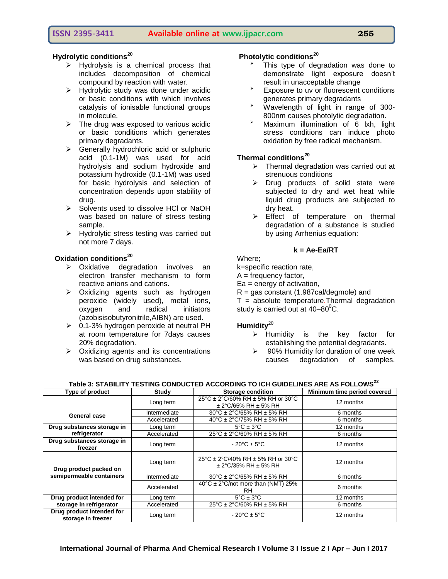# **ISSN 2395-3411 Available online at www.ijpacr.com 255**

- $\triangleright$  Hydrolysis is a chemical process that includes decomposition of chemical compound by reaction with water.
- $\triangleright$  Hydrolytic study was done under acidic or basic conditions with which involves catalysis of ionisable functional groups in molecule.
- $\triangleright$  The drug was exposed to various acidic or basic conditions which generates primary degradants.
- $\triangleright$  Generally hydrochloric acid or sulphuric acid (0.1-1M) was used for acid hydrolysis and sodium hydroxide and potassium hydroxide (0.1-1M) was used for basic hydrolysis and selection of concentration depends upon stability of drug.
- $\triangleright$  Solvents used to dissolve HCl or NaOH was based on nature of stress testing sample.
- $\triangleright$  Hydrolytic stress testing was carried out not more 7 days.

# **Oxidation conditions<sup>20</sup>**

- Oxidative degradation involves an electron transfer mechanism to form reactive anions and cations.
- > Oxidizing agents such as hydrogen peroxide (widely used), metal ions, oxygen and radical initiators (azobisisobutyronitrile,AIBN) are used.
- $\geq 0.1$ -3% hydrogen peroxide at neutral PH at room temperature for 7days causes 20% degradation.
- $\triangleright$  Oxidizing agents and its concentrations was based on drug substances.

# **Photolytic conditions<sup>20</sup>**

- This type of degradation was done to demonstrate light exposure doesn't result in unacceptable change
- Exposure to uv or fluorescent conditions generates primary degradants
- Wavelength of light in range of 300- 800nm causes photolytic degradation.
- > Maximum illumination of 6 lxh, light stress conditions can induce photo oxidation by free radical mechanism.

# **Thermal conditions<sup>20</sup>**

- $\triangleright$  Thermal degradation was carried out at strenuous conditions
- $\triangleright$  Drug products of solid state were subjected to dry and wet heat while liquid drug products are subjected to dry heat.
- $\triangleright$  Effect of temperature on thermal degradation of a substance is studied by using Arrhenius equation:

## **k = Ae-Ea/RT**

Where;

k=specific reaction rate,

 $A = frequency factor$ ,

 $Ea$  = energy of activation,

R = gas constant (1.987cal/degmole) and

 $T =$  absolute temperature. Thermal degradation study is carried out at  $40-80^{\circ}$ C.

# Humidity<sup>20</sup>

- $\triangleright$  Humidity is the key factor for establishing the potential degradants.
- $\geq$  90% Humidity for duration of one week causes degradation of samples.

## **Table 3: STABILITY TESTING CONDUCTED ACCORDING TO ICH GUIDELINES ARE AS FOLLOWS<sup>22</sup>**

| Type of product                                    | Study        | <b>Storage condition</b>                                          | Minimum time period covered |
|----------------------------------------------------|--------------|-------------------------------------------------------------------|-----------------------------|
|                                                    | Long term    | 25°C ± 2°C/60% RH ± 5% RH or 30°C<br>$\pm$ 2°C/65% RH $\pm$ 5% RH | 12 months                   |
| <b>General case</b>                                | Intermediate | 30°C ± 2°C/65% RH ± 5% RH                                         | 6 months                    |
|                                                    | Accelerated  | 40°C ± 2°C/75% RH ± 5% RH                                         | 6 months                    |
| Drug substances storage in                         | Long term    | $5^{\circ}$ C $\pm$ 3 $^{\circ}$ C                                | 12 months                   |
| refrigerator                                       | Accelerated  | 25°C ± 2°C/60% RH ± 5% RH                                         | 6 months                    |
| Drug substances storage in<br>freezer              | Long term    | $-20^{\circ}$ C $\pm$ 5°C                                         | 12 months                   |
| Drug product packed on<br>semipermeable containers | Long term    | 25°C ± 2°C/40% RH ± 5% RH or 30°C<br>$\pm$ 2°C/35% RH $\pm$ 5% RH | 12 months                   |
|                                                    | Intermediate | 30°C ± 2°C/65% RH ± 5% RH                                         | 6 months                    |
|                                                    | Accelerated  | $40^{\circ}$ C ± 2°C/not more than (NMT) 25%<br>RH.               | 6 months                    |
| Drug product intended for                          | Long term    | $5^{\circ}$ C $\pm$ 3 $^{\circ}$ C                                | 12 months                   |
| storage in refrigerator                            | Accelerated  | 25°C ± 2°C/60% RH ± 5% RH                                         | 6 months                    |
| Drug product intended for<br>storage in freezer    | Long term    | $-20^{\circ}$ C $\pm$ 5°C                                         | 12 months                   |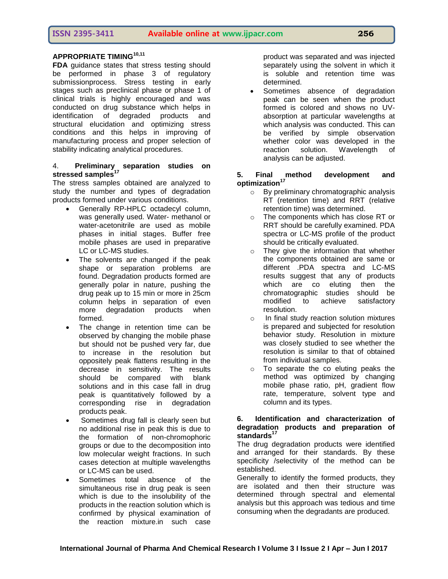# **APPROPRIATE TIMING10,11**

**FDA** quidance states that stress testing should be performed in phase 3 of regulatory submissionprocess. Stress testing in early stages such as preclinical phase or phase 1 of clinical trials is highly encouraged and was conducted on drug substance which helps in identification of degraded products and structural elucidation and optimizing stress conditions and this helps in improving of manufacturing process and proper selection of stability indicating analytical procedures.

# 4. **Preliminary separation studies on**  stressed samples<sup>1</sup>

The stress samples obtained are analyzed to study the number and types of degradation products formed under various conditions.

- Generally RP-HPLC octadecyl column, was generally used. Water- methanol or water-acetonitrile are used as mobile phases in initial stages. Buffer free mobile phases are used in preparative LC or LC-MS studies.
- The solvents are changed if the peak shape or separation problems are found. Degradation products formed are generally polar in nature, pushing the drug peak up to 15 min or more in 25cm column helps in separation of even more degradation products when formed.
- The change in retention time can be observed by changing the mobile phase but should not be pushed very far, due to increase in the resolution but oppositely peak flattens resulting in the decrease in sensitivity. The results should be compared with blank solutions and in this case fall in drug peak is quantitatively followed by a corresponding rise in degradation products peak.
- Sometimes drug fall is clearly seen but no additional rise in peak this is due to the formation of non-chromophoric groups or due to the decomposition into low molecular weight fractions. In such cases detection at multiple wavelengths or LC-MS can be used.
- Sometimes total absence of the simultaneous rise in drug peak is seen which is due to the insolubility of the products in the reaction solution which is confirmed by physical examination of the reaction mixture.in such case

product was separated and was injected separately using the solvent in which it is soluble and retention time was determined.

 Sometimes absence of degradation peak can be seen when the product formed is colored and shows no UVabsorption at particular wavelengths at which analysis was conducted. This can be verified by simple observation whether color was developed in the reaction solution. Wavelength of analysis can be adjusted.

## **5. Final method development and optimization<sup>17</sup>**

- o By preliminary chromatographic analysis RT (retention time) and RRT (relative retention time) was determined.
- o The components which has close RT or RRT should be carefully examined. PDA spectra or LC-MS profile of the product should be critically evaluated.
- $\circ$  They give the information that whether the components obtained are same or different .PDA spectra and LC-MS results suggest that any of products which are co eluting then the chromatographic studies should be modified to achieve satisfactory resolution.
- o In final study reaction solution mixtures is prepared and subjected for resolution behavior study. Resolution in mixture was closely studied to see whether the resolution is similar to that of obtained from individual samples.
- o To separate the co eluting peaks the method was optimized by changing mobile phase ratio, pH, gradient flow rate, temperature, solvent type and column and its types.

# **6. Identification and characterization of degradation products and preparation of standards<sup>17</sup>**

The drug degradation products were identified and arranged for their standards. By these specificity /selectivity of the method can be established.

Generally to identify the formed products, they are isolated and then their structure was determined through spectral and elemental analysis but this approach was tedious and time consuming when the degradants are produced.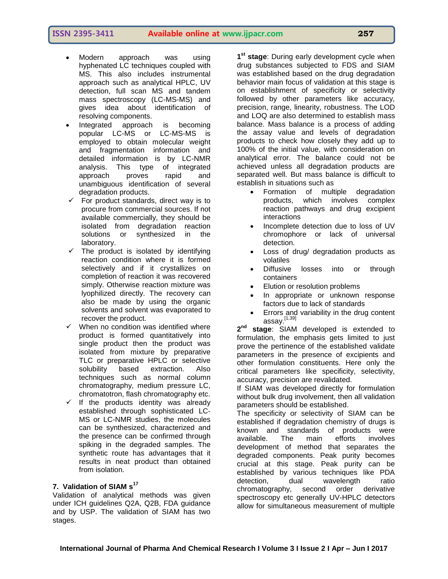- Modern approach was using hyphenated LC techniques coupled with MS. This also includes instrumental approach such as analytical HPLC, UV detection, full scan MS and tandem mass spectroscopy (LC-MS-MS) and gives idea about identification of resolving components.
- Integrated approach is becoming popular LC-MS or LC-MS-MS is employed to obtain molecular weight and fragmentation information and detailed information is by LC-NMR analysis. This type of integrated approach proves rapid and unambiguous identification of several degradation products.
- $\checkmark$  For product standards, direct way is to procure from commercial sources. If not available commercially, they should be isolated from degradation reaction solutions or synthesized in the laboratory.
- $\checkmark$  The product is isolated by identifying reaction condition where it is formed selectively and if it crystallizes on completion of reaction it was recovered simply. Otherwise reaction mixture was lyophilized directly. The recovery can also be made by using the organic solvents and solvent was evaporated to recover the product.
- $\checkmark$  When no condition was identified where product is formed quantitatively into single product then the product was isolated from mixture by preparative TLC or preparative HPLC or selective solubility based extraction. Also techniques such as normal column chromatography, medium pressure LC, chromatotron, flash chromatography etc.
- $\checkmark$  If the products identity was already established through sophisticated LC-MS or LC-NMR studies, the molecules can be synthesized, characterized and the presence can be confirmed through spiking in the degraded samples. The synthetic route has advantages that it results in neat product than obtained from isolation.

# **7. Validation of SIAM s<sup>17</sup>**

Validation of analytical methods was given under ICH guidelines Q2A, Q2B, FDA guidance and by USP. The validation of SIAM has two stages.

**1 st stage**: During early development cycle when drug substances subjected to FDS and SIAM was established based on the drug degradation behavior main focus of validation at this stage is on establishment of specificity or selectivity followed by other parameters like accuracy, precision, range, linearity, robustness. The LOD and LOQ are also determined to establish mass balance. Mass balance is a process of adding the assay value and levels of degradation products to check how closely they add up to 100% of the initial value, with consideration on analytical error. The balance could not be achieved unless all degradation products are separated well. But mass balance is difficult to establish in situations such as

- Formation of multiple degradation products, which involves complex reaction pathways and drug excipient interactions
- Incomplete detection due to loss of UV chromophore or lack of universal detection.
- Loss of drug/ degradation products as volatiles
- Diffusive losses into or through containers
- Elution or resolution problems
- In appropriate or unknown response factors due to lack of standards
- Errors and variability in the drug content assay.[1,39]

 $2<sup>nd</sup>$ stage: SIAM developed is extended to formulation, the emphasis gets limited to just prove the pertinence of the established validate parameters in the presence of excipients and other formulation constituents. Here only the critical parameters like specificity, selectivity, accuracy, precision are revalidated.

If SIAM was developed directly for formulation without bulk drug involvement, then all validation parameters should be established.

The specificity or selectivity of SIAM can be established if degradation chemistry of drugs is known and standards of products were available. The main efforts involves development of method that separates the degraded components. Peak purity becomes crucial at this stage. Peak purity can be established by various techniques like PDA detection, dual wavelength ratio chromatography, second order derivative spectroscopy etc generally UV-HPLC detectors allow for simultaneous measurement of multiple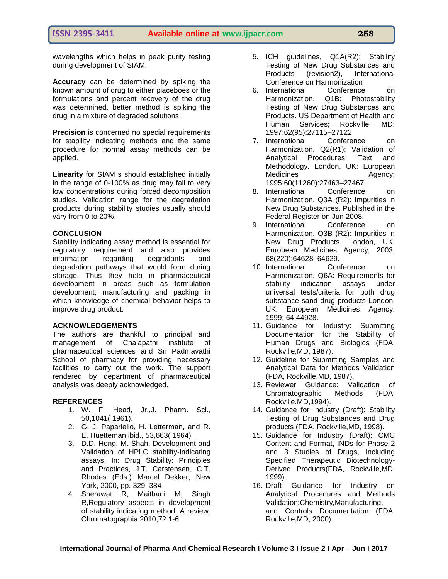wavelengths which helps in peak purity testing during development of SIAM.

**Accuracy** can be determined by spiking the known amount of drug to either placeboes or the formulations and percent recovery of the drug was determined, better method is spiking the drug in a mixture of degraded solutions.

**Precision** is concerned no special requirements for stability indicating methods and the same procedure for normal assay methods can be applied.

**Linearity** for SIAM s should established initially in the range of 0-100% as drug may fall to very low concentrations during forced decomposition studies. Validation range for the degradation products during stability studies usually should vary from 0 to 20%.

## **CONCLUSION**

Stability indicating assay method is essential for regulatory requirement and also provides information regarding degradants and degradation pathways that would form during storage. Thus they help in pharmaceutical development in areas such as formulation development, manufacturing and packing in which knowledge of chemical behavior helps to improve drug product.

#### **ACKNOWLEDGEMENTS**

The authors are thankful to principal and management of Chalapathi institute of pharmaceutical sciences and Sri Padmavathi School of pharmacy for providing necessary facilities to carry out the work. The support rendered by department of pharmaceutical analysis was deeply acknowledged.

#### **REFERENCES**

- 1. W. F. Head, Jr.,J. Pharm. Sci., 50,1041( 1961).
- 2. G. J. Papariello, H. Letterman, and R. E. Huetteman,ibid., 53,663( 1964)
- 3. D.D. Hong, M. Shah, Development and Validation of HPLC stability-indicating assays, In: Drug Stability: Principles and Practices, J.T. Carstensen, C.T. Rhodes (Eds.) Marcel Dekker, New York, 2000, pp. 329–384
- 4. Sherawat R, Maithani M, Singh R,Regulatory aspects in development of stability indicating method: A review. Chromatographia 2010;72:1-6
- 5. ICH guidelines, Q1A(R2): Stability Testing of New Drug Substances and Products (revision2), International Conference on Harmonization
- 6. International Conference on Harmonization. Q1B: Photostability Testing of New Drug Substances and Products. US Department of Health and Human Services; Rockville, MD: 1997;62(95):27115–27122
- 7. International Conference on Harmonization. Q2(R1): Validation of Analytical Procedures: Text and Methodology. London, UK: European Medicines Agency; 1995;60(11260):27463–27467.
- 8. International Conference on Harmonization. Q3A (R2): Impurities in New Drug Substances. Published in the Federal Register on Jun 2008.
- 9. International Conference on Harmonization. Q3B (R2): Impurities in New Drug Products. London, UK: European Medicines Agency; 2003; 68(220):64628–64629.
- 10. International Conference on Harmonization. Q6A: Requirements for stability indication assays under universal tests/criteria for both drug substance sand drug products London, UK: European Medicines Agency; 1999; 64:44928.
- 11. Guidance for Industry: Submitting Documentation for the Stability of Human Drugs and Biologics (FDA, Rockville,MD, 1987).
- 12. Guideline for Submitting Samples and Analytical Data for Methods Validation (FDA, Rockville,MD, 1987).
- 13. Reviewer Guidance: Validation of Chromatographic Methods (FDA, Rockville,MD,1994).
- 14. Guidance for Industry (Draft): Stability Testing of Drug Substances and Drug products (FDA, Rockville,MD, 1998).
- 15. Guidance for Industry (Draft): CMC Content and Format, INDs for Phase 2 and 3 Studies of Drugs, Including Specified Therapeutic Biotechnology-Derived Products(FDA, Rockville,MD, 1999).
- 16. Draft Guidance for Industry on Analytical Procedures and Methods Validation:Chemistry,Manufacturing, and Controls Documentation (FDA, Rockville,MD, 2000).